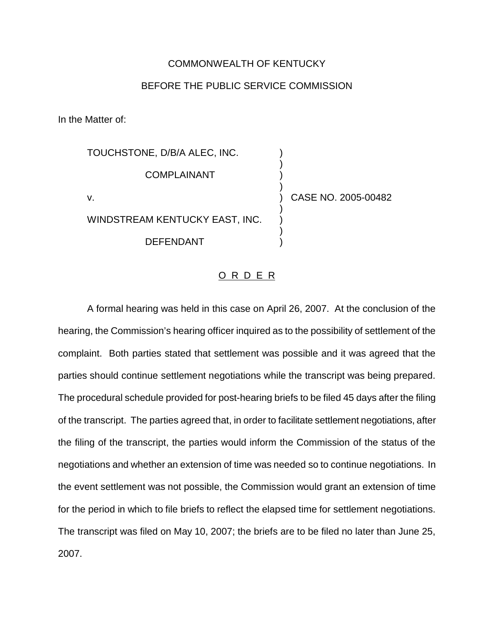## COMMONWEALTH OF KENTUCKY

## BEFORE THE PUBLIC SERVICE COMMISSION

In the Matter of:

TOUCHSTONE, D/B/A ALEC, INC. ) ) **COMPLAINANT** ) v. ) CASE NO. 2005-00482 ) WINDSTREAM KENTUCKY EAST, INC. ) DEFENDANT )

## O R D E R

A formal hearing was held in this case on April 26, 2007. At the conclusion of the hearing, the Commission's hearing officer inquired as to the possibility of settlement of the complaint. Both parties stated that settlement was possible and it was agreed that the parties should continue settlement negotiations while the transcript was being prepared. The procedural schedule provided for post-hearing briefs to be filed 45 days after the filing of the transcript. The parties agreed that, in order to facilitate settlement negotiations, after the filing of the transcript, the parties would inform the Commission of the status of the negotiations and whether an extension of time was needed so to continue negotiations. In the event settlement was not possible, the Commission would grant an extension of time for the period in which to file briefs to reflect the elapsed time for settlement negotiations. The transcript was filed on May 10, 2007; the briefs are to be filed no later than June 25, 2007.